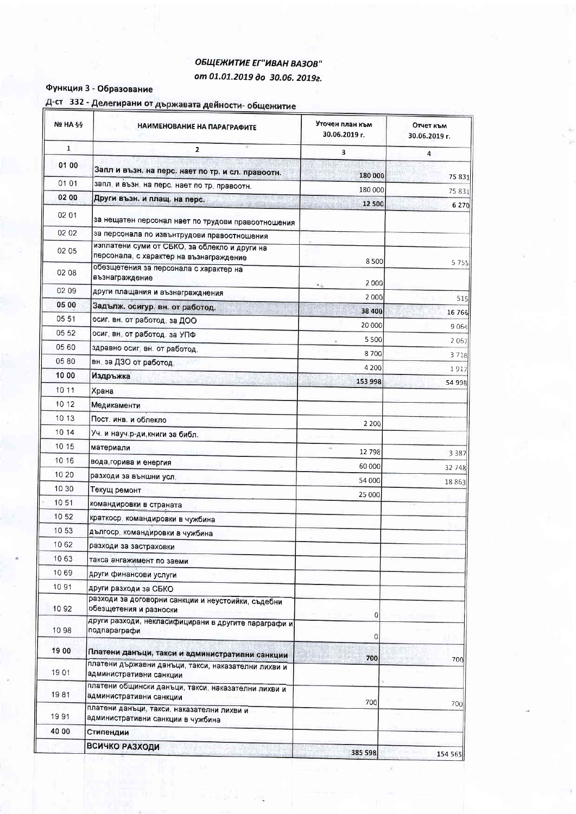## ОБЩЕЖИТИЕ ЕГ"ИВАН ВАЗОВ" om 01.01.2019 do 30.06. 20192.

#### Функция 3 - Образование

| Д-ст 332 - Делегирани от държавата дейности- общежитие |  |  |  |  |  |
|--------------------------------------------------------|--|--|--|--|--|
|--------------------------------------------------------|--|--|--|--|--|

| Nº HA §§     | НАИМЕНОВАНИЕ НА ПАРАГРАФИТЕ                                                              | Уточен план към<br>30.06.2019 г. | Отчет към<br>30.06.2019 г. |
|--------------|------------------------------------------------------------------------------------------|----------------------------------|----------------------------|
| $\mathbf{1}$ | $\overline{2}$                                                                           | 3                                | 4                          |
| 01 00        | Запл и възн. на перс. нает по тр. и сл. правоотн.                                        | 180 000                          |                            |
| 01 01        | запл, и възн, на перс. нает по тр. правоотн.                                             |                                  | 75 831                     |
| 02 00        | Други възн. и плащ. на перс.                                                             | 180 000                          | 75 831                     |
| 02 01        | за нещатен персонал нает по трудови правоотношения                                       | 12 500                           | 6 2 7 0                    |
| 02 02        | за персонала по извънтрудови правоотношения                                              |                                  |                            |
| 02 05        | изплатени суми от СБКО, за облекло и други на<br>персонала, с характер на възнаграждение | 8500                             |                            |
| 02 08        | обезщетения за персонала с характер на<br>възнаграждение                                 | 2000<br>$\ddot{\phantom{a}}$     | 5755                       |
| 02 09        | други плащания и възнагражднения                                                         | 2000                             | 515                        |
| 05 00        | Задълж. осигур. вн. от работод.                                                          | 38 400                           | 16 766                     |
| 05 51        | осиг. вн. от работод. за ДОО                                                             | 20 000                           | 9064                       |
| 05 52        | осиг, вн. от работод. за УПФ                                                             | 5 5 0 0                          |                            |
| 05 60        | здравно осиг, вн. от работод.                                                            | 8700                             | 2067                       |
| 05 80        | вн. за ДЗО от работод.                                                                   | 4 2 0 0                          | 3 7 1 8                    |
| 10 00        | Издръжка                                                                                 | 153 998                          | 1917                       |
| 10 11        | Храна                                                                                    |                                  | 54 998                     |
| 10 12        | Медикаменти                                                                              |                                  |                            |
| 10 13        | Пост. инв. и облекло                                                                     | 2 2 0 0                          |                            |
| 10 14        | Уч. и науч.р-ди, книги за библ.                                                          |                                  |                            |
| 10 15        | материали                                                                                | 12798                            |                            |
| 10 16        | вода, горива и енергия                                                                   | 60 000                           | 3 3 8 7                    |
| 10 20        | разходи за външни усл.                                                                   | 54 000                           | 32 748                     |
| 10 30        | Текущ ремонт                                                                             | 25 000                           | 18863                      |
| 10 51        | командировки в страната                                                                  |                                  |                            |
| 10 52        | краткоср. командировки в чужбина                                                         |                                  |                            |
| 10 53        | дългоср. командировки в чужбина                                                          |                                  |                            |
| 10 62        | разходи за застраховки                                                                   |                                  |                            |
| 10 63        | такса ангажимент по заеми                                                                |                                  |                            |
| 10 69        | други финансови услуги                                                                   |                                  |                            |
| 10 91        | други разходи за СБКО                                                                    |                                  |                            |
| 1092         | разходи за договорни санкции и неустоийки, съдебни<br>обезщетения и разноски             | $\Omega$                         |                            |
| 1098         | други разходи, некласифицирани в другите параграфи и<br>подпараграфи                     | 0                                |                            |
| 19 00        | Платени данъци, такси и административни санкции                                          |                                  |                            |
| 1901         | платени държавни данъци, такси, наказателни лихви и<br>административни санкции           | 700                              | 700                        |
| 1981         | платени общински данъци, такси, наказателни лихви и<br>административни санкции           | 700                              |                            |
| 1991         | платени данъци, такси, наказателни лихви и<br>административни санкции в чужбина          |                                  | 700                        |
| 40 00        | Стипендии                                                                                |                                  |                            |
|              | <b>ВСИЧКО РАЗХОДИ</b>                                                                    | 385 598                          | 154 565                    |

 $\tilde{\nu}$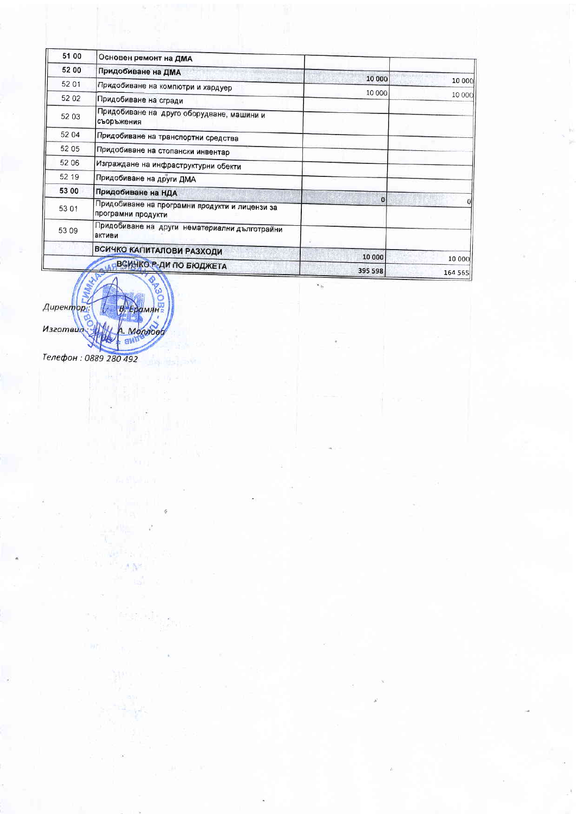|                   |                   | Основен ремонт на ДМА                                                | 51 00 |
|-------------------|-------------------|----------------------------------------------------------------------|-------|
|                   |                   | Придобиване на ДМА                                                   | 52 00 |
| 10 000            | 10 000            | Придобиване на компютри и хардуер                                    | 52 01 |
| 10 000            | 10 000            | Придобиване на сгради                                                | 52 02 |
|                   |                   | Придобиване на друго оборудване, машини и<br>съоръжения              | 52 03 |
|                   |                   | Придобиване на транспортни средства                                  | 52 04 |
|                   |                   | Придобиване на стопански инвентар                                    | 52 05 |
|                   |                   | Изграждане на инфраструктурни обекти                                 | 52 06 |
|                   |                   | Придобиване на други ДМА                                             | 52 19 |
|                   |                   | Придобиване на НДА                                                   | 53 00 |
|                   | ۵ı                | Придобиване на програмни продукти и лицензи за<br>програмни продукти | 53 01 |
|                   |                   | Придобиване на други нематериални дълготрайни<br>активи              | 53 09 |
|                   |                   | ВСИЧКО КАПИТАЛОВИ РАЗХОДИ                                            |       |
| 10 000<br>164 565 | 10 000<br>395 598 | ВСИЧКО Р-ДИ ПО БЮДЖЕТА                                               |       |



Телефон: 0889 280 492

6.N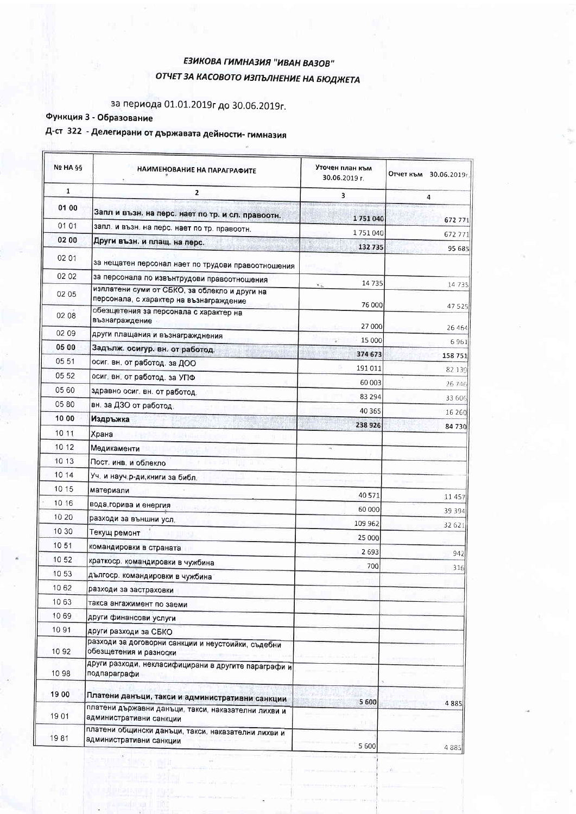## ЕЗИКОВА ГИМНАЗИЯ "ИВАН ВАЗОВ" ОТЧЕТ ЗА КАСОВОТО ИЗПЪЛНЕНИЕ НА БЮДЖЕТА

## за периода 01.01.2019г до 30.06.2019г.

## Функция 3 - Образование

# Д-ст 322 - Делегирани от държавата дейности- гимназия

| <b>Nº HA §§</b> | НАИМЕНОВАНИЕ НА ПАРАГРАФИТЕ                                                              | Уточен план към<br>30.06.2019 г. | Отчет към 30.06.2019г. |
|-----------------|------------------------------------------------------------------------------------------|----------------------------------|------------------------|
| $\mathbf{1}$    | $\mathbf{2}$                                                                             | 3                                | $\overline{a}$         |
| 01 00           | Запл и възн. на перс. нает по тр. и сл. правоотн.                                        | 1751040                          |                        |
| 01 01           | запл. и възн. на перс. нает по тр. правоотн.                                             |                                  | 672 771                |
| 02 00           | Други възн. и плащ. на перс.                                                             | 1751040                          | 672 771                |
| 02 01           | за нещатен персонал нает по трудови правоотношения                                       | 132735                           | 95 685                 |
| 02 02           | за персонала по извънтрудови правоотношения                                              | 14735                            |                        |
| 02 05           | изплатени суми от СБКО, за облекло и други на<br>персонала, с характер на възнаграждение | $\ddot{\phantom{a}}$<br>76 000   | 14735                  |
| 02 08           | обезщетения за персонала с характер на<br>възнаграждение                                 | 27 000                           | 47 5 25<br>26 4 6 4    |
| 02 09           | други плащания и възнагражднения                                                         | 15 000                           |                        |
| 05 00           | Задълж. осигур. вн. от работод.                                                          | 374 673                          | 6961                   |
| 05 51           | осиг. вн. от работод. за ДОО                                                             | 191 011                          | 158 751                |
| 05 52           | осиг. вн. от работод. за УПФ                                                             | 60 003                           | 82 139                 |
| 05 60           | здравно осиг. вн. от работод.                                                            | 83 294                           | 26 746                 |
| 05 80           | вн. за ДЗО от работод.                                                                   | 40 3 65                          | 33 606                 |
| 10 00           | Издръжка                                                                                 | 238 926                          | 16 260                 |
| 10 11           | Храна                                                                                    |                                  | 84 730                 |
| 10 12           | Медикаменти                                                                              |                                  |                        |
| 10 13           | Пост. инв. и облекло                                                                     |                                  |                        |
| 10 14           | Уч. и науч.р-ди, книги за библ.                                                          |                                  |                        |
| 10 15           | материали                                                                                | 40 5 7 1                         |                        |
| 10 16           | вода,горива и енергия                                                                    | 60 000                           | 11 4 5 7               |
| 10 20           | разходи за външни усл.                                                                   |                                  | 39 394                 |
| 10 30           | Текущ ремонт                                                                             | 109 962                          | 32 62                  |
| 10 51           | командировки в страната                                                                  | 25 000                           |                        |
| 10 52           | краткоср. командировки в чужбина                                                         | 2693                             | 942                    |
| 10 53           | дългоср. командировки в чужбина                                                          | 700                              | 316                    |
| 10 62           | разходи за застраховки                                                                   |                                  |                        |
| 1063            | такса ангажимент по заеми                                                                |                                  |                        |
| 1069            | други финансови услуги                                                                   |                                  |                        |
| 1091            | други разходи за СБКО                                                                    |                                  |                        |
| 10 92           | разходи за договорни санкции и неустоийки, съдебни<br>обезщетения и разноски             |                                  |                        |
| 10 98           | други разходи, некласифицирани в другите параграфи и<br>подпараграфи                     |                                  |                        |
| 19 00           | Платени данъци, такси и административни санкции                                          | 5 600                            |                        |
| 1901            | платени държавни данъци, такси, наказателни лихви и<br>административни санкции           | ШI                               | 4885                   |
| 1981            | платени общински данъци, такси, наказателни лихви и<br>административни санкции           | 5 600                            |                        |
|                 |                                                                                          |                                  | 4 8 8 5                |